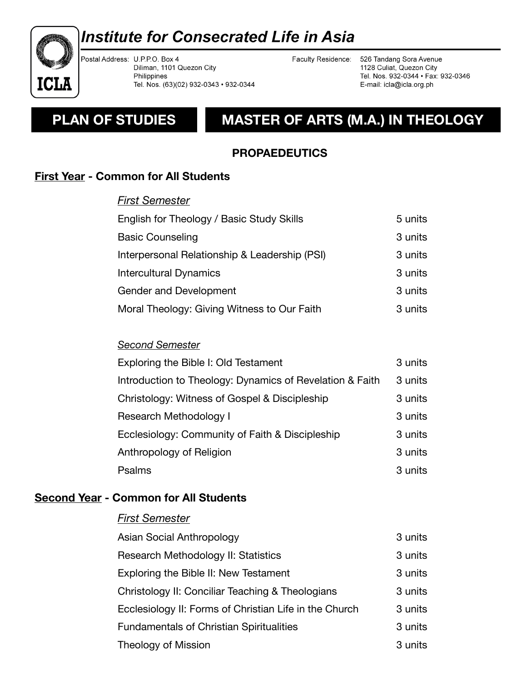

Postal Address: U.P.P.O. Box 4 Diliman, 1101 Quezon City Philippines Tel. Nos. (63)(02) 932-0343 · 932-0344

# **PLAN OF STUDIES MASTER OF ARTS (M.A.) IN THEOLOGY**

#### **PROPAEDEUTICS**

#### **First Year - Common for All Students**

| <b>First Semester</b>                         |         |
|-----------------------------------------------|---------|
| English for Theology / Basic Study Skills     | 5 units |
| <b>Basic Counseling</b>                       | 3 units |
| Interpersonal Relationship & Leadership (PSI) | 3 units |
| Intercultural Dynamics                        | 3 units |
| Gender and Development                        | 3 units |
| Moral Theology: Giving Witness to Our Faith   | 3 units |

#### *Second Semester*

| 3 units |
|---------|
| 3 units |
| 3 units |
| 3 units |
| 3 units |
| 3 units |
| 3 units |
|         |

#### **Second Year - Common for All Students**

# *First Semester*

| Asian Social Anthropology                              | 3 units |
|--------------------------------------------------------|---------|
| Research Methodology II: Statistics                    | 3 units |
| Exploring the Bible II: New Testament                  | 3 units |
| Christology II: Conciliar Teaching & Theologians       | 3 units |
| Ecclesiology II: Forms of Christian Life in the Church | 3 units |
| <b>Fundamentals of Christian Spiritualities</b>        | 3 units |
| Theology of Mission                                    | 3 units |
|                                                        |         |

Faculty Residence: 526 Tandang Sora Avenue

1128 Culiat, Quezon City Tel. Nos. 932-0344 · Fax: 932-0346 E-mail: icla@icla.org.ph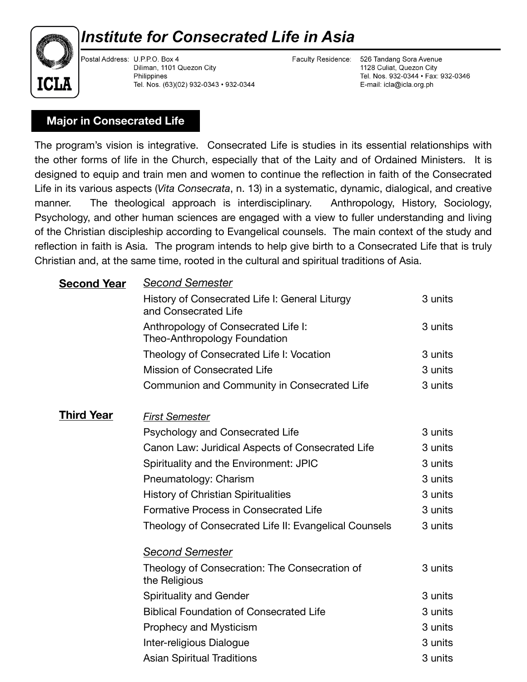

Postal Address: U.P.P.O. Box 4 Diliman, 1101 Quezon City Philippines Tel. Nos. (63)(02) 932-0343 · 932-0344

Faculty Residence: 526 Tandang Sora Avenue 1128 Culiat, Quezon City Tel. Nos. 932-0344 · Fax: 932-0346 E-mail: icla@icla.org.ph

### **Major in Consecrated Life**

The program's vision is integrative. Consecrated Life is studies in its essential relationships with the other forms of life in the Church, especially that of the Laity and of Ordained Ministers. It is designed to equip and train men and women to continue the reflection in faith of the Consecrated Life in its various aspects (*Vita Consecrata*, n. 13) in a systematic, dynamic, dialogical, and creative manner. The theological approach is interdisciplinary. Anthropology, History, Sociology, Psychology, and other human sciences are engaged with a view to fuller understanding and living of the Christian discipleship according to Evangelical counsels. The main context of the study and reflection in faith is Asia. The program intends to help give birth to a Consecrated Life that is truly Christian and, at the same time, rooted in the cultural and spiritual traditions of Asia.

| <b>Second Year</b> | <b>Second Semester</b>                                                 |         |  |
|--------------------|------------------------------------------------------------------------|---------|--|
|                    | History of Consecrated Life I: General Liturgy<br>and Consecrated Life | 3 units |  |
|                    | Anthropology of Consecrated Life I:<br>Theo-Anthropology Foundation    | 3 units |  |
|                    | Theology of Consecrated Life I: Vocation                               | 3 units |  |
|                    | <b>Mission of Consecrated Life</b>                                     | 3 units |  |
|                    | Communion and Community in Consecrated Life                            | 3 units |  |
| <b>Third Year</b>  | <b>First Semester</b>                                                  |         |  |
|                    | Psychology and Consecrated Life                                        | 3 units |  |
|                    | Canon Law: Juridical Aspects of Consecrated Life                       | 3 units |  |
|                    | Spirituality and the Environment: JPIC                                 | 3 units |  |
|                    | Pneumatology: Charism                                                  | 3 units |  |
|                    | <b>History of Christian Spiritualities</b>                             | 3 units |  |
|                    | Formative Process in Consecrated Life                                  | 3 units |  |
|                    | Theology of Consecrated Life II: Evangelical Counsels                  | 3 units |  |
|                    | <b>Second Semester</b>                                                 |         |  |
|                    | Theology of Consecration: The Consecration of<br>the Religious         | 3 units |  |
|                    | Spirituality and Gender                                                | 3 units |  |
|                    | <b>Biblical Foundation of Consecrated Life</b>                         | 3 units |  |
|                    | Prophecy and Mysticism                                                 | 3 units |  |
|                    | Inter-religious Dialogue                                               | 3 units |  |
|                    | <b>Asian Spiritual Traditions</b>                                      | 3 units |  |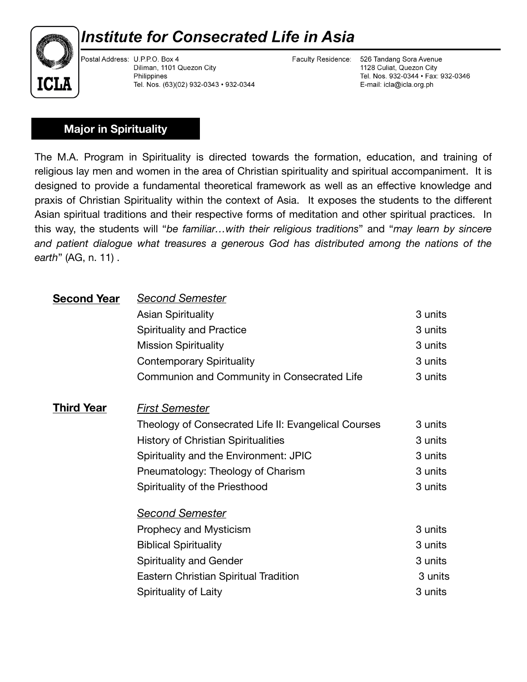

Postal Address: U.P.P.O. Box 4 Diliman, 1101 Quezon City Philippines Tel. Nos. (63)(02) 932-0343 · 932-0344

Faculty Residence: 526 Tandang Sora Avenue 1128 Culiat, Quezon City Tel. Nos. 932-0344 · Fax: 932-0346 E-mail: icla@icla.org.ph

#### **Major in Spirituality**

The M.A. Program in Spirituality is directed towards the formation, education, and training of religious lay men and women in the area of Christian spirituality and spiritual accompaniment. It is designed to provide a fundamental theoretical framework as well as an effective knowledge and praxis of Christian Spirituality within the context of Asia. It exposes the students to the different Asian spiritual traditions and their respective forms of meditation and other spiritual practices. In this way, the students will "*be familiar…with their religious traditions*" and "*may learn by sincere and patient dialogue what treasures a generous God has distributed among the nations of the earth*" (AG, n. 11) .

| <b>Second Year</b> | <u>Second Semester</u>                               |         |
|--------------------|------------------------------------------------------|---------|
|                    | <b>Asian Spirituality</b>                            | 3 units |
|                    | <b>Spirituality and Practice</b>                     | 3 units |
|                    | <b>Mission Spirituality</b>                          | 3 units |
|                    | <b>Contemporary Spirituality</b>                     | 3 units |
|                    | Communion and Community in Consecrated Life          | 3 units |
| <u>Third Year</u>  | <u>First Semester</u>                                |         |
|                    | Theology of Consecrated Life II: Evangelical Courses | 3 units |
|                    | <b>History of Christian Spiritualities</b>           | 3 units |
|                    | Spirituality and the Environment: JPIC               | 3 units |
|                    | Pneumatology: Theology of Charism                    | 3 units |
|                    | Spirituality of the Priesthood                       | 3 units |
|                    | <b>Second Semester</b>                               |         |
|                    | Prophecy and Mysticism                               | 3 units |
|                    | <b>Biblical Spirituality</b>                         | 3 units |
|                    | <b>Spirituality and Gender</b>                       | 3 units |
|                    | Eastern Christian Spiritual Tradition                | 3 units |
|                    | Spirituality of Laity                                | 3 units |
|                    |                                                      |         |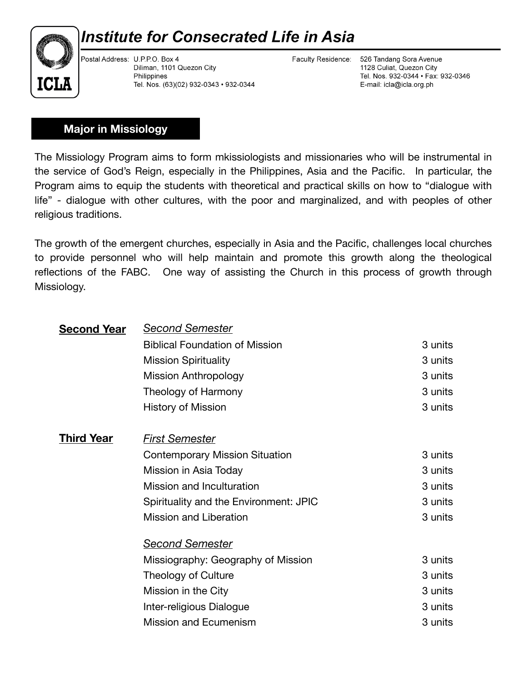

Postal Address: U.P.P.O. Box 4 Diliman, 1101 Quezon City Philippines Tel. Nos. (63)(02) 932-0343 · 932-0344

Faculty Residence: 526 Tandang Sora Avenue 1128 Culiat, Quezon City Tel. Nos. 932-0344 · Fax: 932-0346 E-mail: icla@icla.org.ph

### **Major in Missiology**

The Missiology Program aims to form mkissiologists and missionaries who will be instrumental in the service of God's Reign, especially in the Philippines, Asia and the Pacific. In particular, the Program aims to equip the students with theoretical and practical skills on how to "dialogue with life" - dialogue with other cultures, with the poor and marginalized, and with peoples of other religious traditions.

The growth of the emergent churches, especially in Asia and the Pacific, challenges local churches to provide personnel who will help maintain and promote this growth along the theological reflections of the FABC. One way of assisting the Church in this process of growth through Missiology.

| <b>Second Year</b> | <b>Second Semester</b>                 |         |
|--------------------|----------------------------------------|---------|
|                    | <b>Biblical Foundation of Mission</b>  | 3 units |
|                    | <b>Mission Spirituality</b>            | 3 units |
|                    | <b>Mission Anthropology</b>            | 3 units |
|                    | Theology of Harmony                    | 3 units |
|                    | <b>History of Mission</b>              | 3 units |
|                    |                                        |         |
| <b>Third Year</b>  | <b>First Semester</b>                  |         |
|                    | <b>Contemporary Mission Situation</b>  | 3 units |
|                    | Mission in Asia Today                  | 3 units |
|                    | Mission and Inculturation              | 3 units |
|                    | Spirituality and the Environment: JPIC | 3 units |
|                    | <b>Mission and Liberation</b>          | 3 units |
|                    | <b>Second Semester</b>                 |         |
|                    | Missiography: Geography of Mission     | 3 units |
|                    | <b>Theology of Culture</b>             | 3 units |
|                    | Mission in the City                    | 3 units |
|                    | Inter-religious Dialogue               | 3 units |
|                    | <b>Mission and Ecumenism</b>           | 3 units |
|                    |                                        |         |